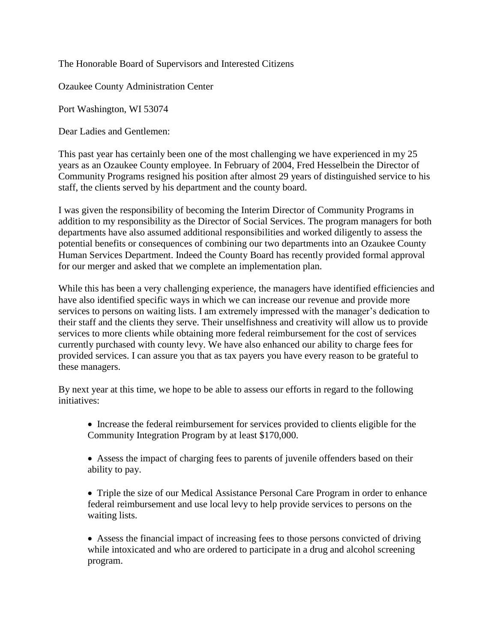The Honorable Board of Supervisors and Interested Citizens

Ozaukee County Administration Center

Port Washington, WI 53074

Dear Ladies and Gentlemen:

This past year has certainly been one of the most challenging we have experienced in my 25 years as an Ozaukee County employee. In February of 2004, Fred Hesselbein the Director of Community Programs resigned his position after almost 29 years of distinguished service to his staff, the clients served by his department and the county board.

I was given the responsibility of becoming the Interim Director of Community Programs in addition to my responsibility as the Director of Social Services. The program managers for both departments have also assumed additional responsibilities and worked diligently to assess the potential benefits or consequences of combining our two departments into an Ozaukee County Human Services Department. Indeed the County Board has recently provided formal approval for our merger and asked that we complete an implementation plan.

While this has been a very challenging experience, the managers have identified efficiencies and have also identified specific ways in which we can increase our revenue and provide more services to persons on waiting lists. I am extremely impressed with the manager's dedication to their staff and the clients they serve. Their unselfishness and creativity will allow us to provide services to more clients while obtaining more federal reimbursement for the cost of services currently purchased with county levy. We have also enhanced our ability to charge fees for provided services. I can assure you that as tax payers you have every reason to be grateful to these managers.

By next year at this time, we hope to be able to assess our efforts in regard to the following initiatives:

 Increase the federal reimbursement for services provided to clients eligible for the Community Integration Program by at least \$170,000.

 Assess the impact of charging fees to parents of juvenile offenders based on their ability to pay.

• Triple the size of our Medical Assistance Personal Care Program in order to enhance federal reimbursement and use local levy to help provide services to persons on the waiting lists.

 Assess the financial impact of increasing fees to those persons convicted of driving while intoxicated and who are ordered to participate in a drug and alcohol screening program.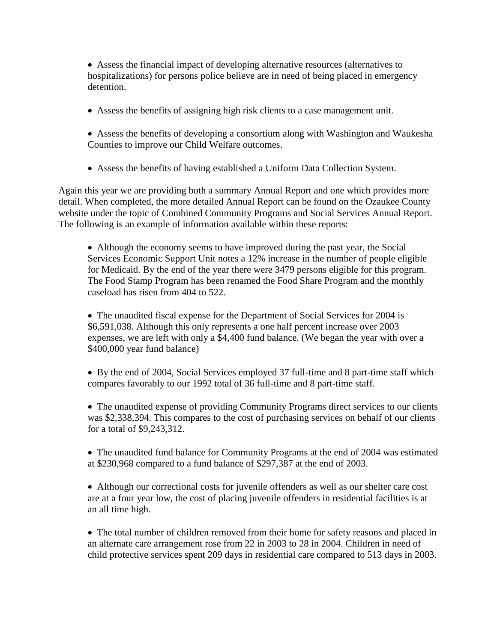Assess the financial impact of developing alternative resources (alternatives to hospitalizations) for persons police believe are in need of being placed in emergency detention.

- Assess the benefits of assigning high risk clients to a case management unit.
- Assess the benefits of developing a consortium along with Washington and Waukesha Counties to improve our Child Welfare outcomes.
- Assess the benefits of having established a Uniform Data Collection System.

Again this year we are providing both a summary Annual Report and one which provides more detail. When completed, the more detailed Annual Report can be found on the Ozaukee County website under the topic of Combined Community Programs and Social Services Annual Report. The following is an example of information available within these reports:

 Although the economy seems to have improved during the past year, the Social Services Economic Support Unit notes a 12% increase in the number of people eligible for Medicaid. By the end of the year there were 3479 persons eligible for this program. The Food Stamp Program has been renamed the Food Share Program and the monthly caseload has risen from 404 to 522.

 The unaudited fiscal expense for the Department of Social Services for 2004 is \$6,591,038. Although this only represents a one half percent increase over 2003 expenses, we are left with only a \$4,400 fund balance. (We began the year with over a \$400,000 year fund balance)

 By the end of 2004, Social Services employed 37 full-time and 8 part-time staff which compares favorably to our 1992 total of 36 full-time and 8 part-time staff.

 The unaudited expense of providing Community Programs direct services to our clients was \$2,338,394. This compares to the cost of purchasing services on behalf of our clients for a total of \$9,243,312.

 The unaudited fund balance for Community Programs at the end of 2004 was estimated at \$230,968 compared to a fund balance of \$297,387 at the end of 2003.

 Although our correctional costs for juvenile offenders as well as our shelter care cost are at a four year low, the cost of placing juvenile offenders in residential facilities is at an all time high.

 The total number of children removed from their home for safety reasons and placed in an alternate care arrangement rose from 22 in 2003 to 28 in 2004. Children in need of child protective services spent 209 days in residential care compared to 513 days in 2003.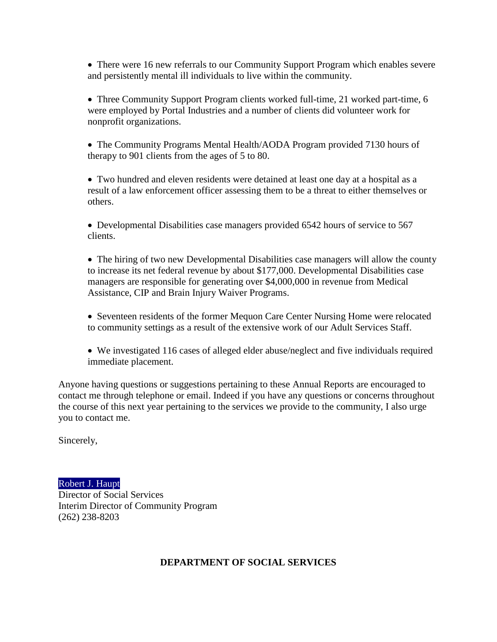• There were 16 new referrals to our Community Support Program which enables severe and persistently mental ill individuals to live within the community.

• Three Community Support Program clients worked full-time, 21 worked part-time, 6 were employed by Portal Industries and a number of clients did volunteer work for nonprofit organizations.

 The Community Programs Mental Health/AODA Program provided 7130 hours of therapy to 901 clients from the ages of 5 to 80.

 Two hundred and eleven residents were detained at least one day at a hospital as a result of a law enforcement officer assessing them to be a threat to either themselves or others.

 Developmental Disabilities case managers provided 6542 hours of service to 567 clients.

• The hiring of two new Developmental Disabilities case managers will allow the county to increase its net federal revenue by about \$177,000. Developmental Disabilities case managers are responsible for generating over \$4,000,000 in revenue from Medical Assistance, CIP and Brain Injury Waiver Programs.

• Seventeen residents of the former Mequon Care Center Nursing Home were relocated to community settings as a result of the extensive work of our Adult Services Staff.

 We investigated 116 cases of alleged elder abuse/neglect and five individuals required immediate placement.

Anyone having questions or suggestions pertaining to these Annual Reports are encouraged to contact me through telephone or email. Indeed if you have any questions or concerns throughout the course of this next year pertaining to the services we provide to the community, I also urge you to contact me.

Sincerely,

## [Robert J. Haupt](mailto:rhaupt@co.ozaukee.wi.us)

Director of Social Services Interim Director of Community Program (262) 238-8203

## **DEPARTMENT OF SOCIAL SERVICES**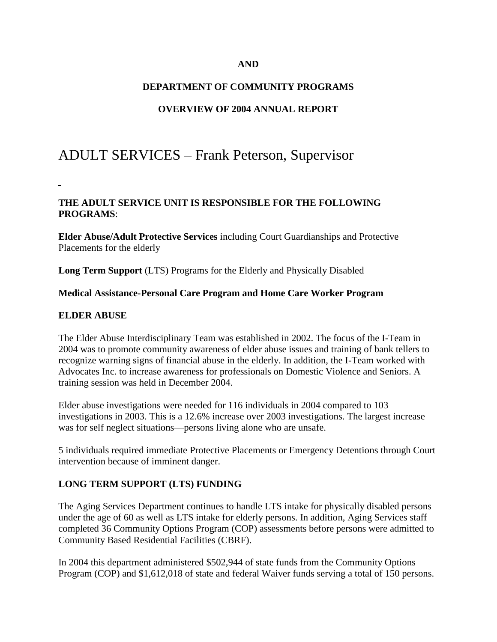### **AND**

### **DEPARTMENT OF COMMUNITY PROGRAMS**

### **OVERVIEW OF 2004 ANNUAL REPORT**

# ADULT SERVICES – Frank Peterson, Supervisor

### **THE ADULT SERVICE UNIT IS RESPONSIBLE FOR THE FOLLOWING PROGRAMS**:

**Elder Abuse/Adult Protective Services** including Court Guardianships and Protective Placements for the elderly

**Long Term Support** (LTS) Programs for the Elderly and Physically Disabled

#### **Medical Assistance-Personal Care Program and Home Care Worker Program**

#### **ELDER ABUSE**

The Elder Abuse Interdisciplinary Team was established in 2002. The focus of the I-Team in 2004 was to promote community awareness of elder abuse issues and training of bank tellers to recognize warning signs of financial abuse in the elderly. In addition, the I-Team worked with Advocates Inc. to increase awareness for professionals on Domestic Violence and Seniors. A training session was held in December 2004.

Elder abuse investigations were needed for 116 individuals in 2004 compared to 103 investigations in 2003. This is a 12.6% increase over 2003 investigations. The largest increase was for self neglect situations—persons living alone who are unsafe.

5 individuals required immediate Protective Placements or Emergency Detentions through Court intervention because of imminent danger.

#### **LONG TERM SUPPORT (LTS) FUNDING**

The Aging Services Department continues to handle LTS intake for physically disabled persons under the age of 60 as well as LTS intake for elderly persons. In addition, Aging Services staff completed 36 Community Options Program (COP) assessments before persons were admitted to Community Based Residential Facilities (CBRF).

In 2004 this department administered \$502,944 of state funds from the Community Options Program (COP) and \$1,612,018 of state and federal Waiver funds serving a total of 150 persons.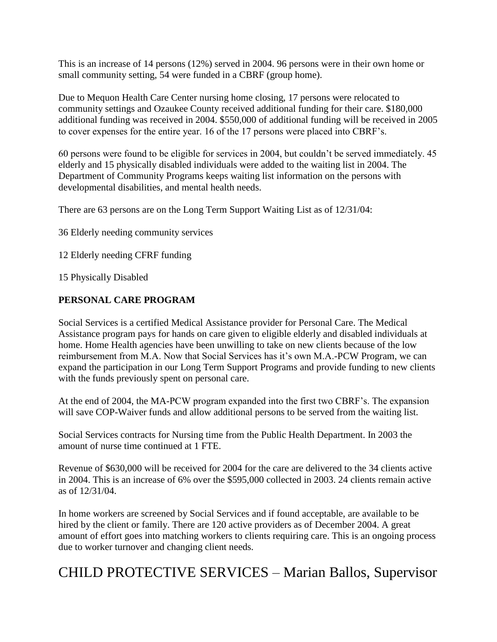This is an increase of 14 persons (12%) served in 2004. 96 persons were in their own home or small community setting, 54 were funded in a CBRF (group home).

Due to Mequon Health Care Center nursing home closing, 17 persons were relocated to community settings and Ozaukee County received additional funding for their care. \$180,000 additional funding was received in 2004. \$550,000 of additional funding will be received in 2005 to cover expenses for the entire year. 16 of the 17 persons were placed into CBRF's.

60 persons were found to be eligible for services in 2004, but couldn't be served immediately. 45 elderly and 15 physically disabled individuals were added to the waiting list in 2004. The Department of Community Programs keeps waiting list information on the persons with developmental disabilities, and mental health needs.

There are 63 persons are on the Long Term Support Waiting List as of 12/31/04:

36 Elderly needing community services

12 Elderly needing CFRF funding

15 Physically Disabled

## **PERSONAL CARE PROGRAM**

Social Services is a certified Medical Assistance provider for Personal Care. The Medical Assistance program pays for hands on care given to eligible elderly and disabled individuals at home. Home Health agencies have been unwilling to take on new clients because of the low reimbursement from M.A. Now that Social Services has it's own M.A.-PCW Program, we can expand the participation in our Long Term Support Programs and provide funding to new clients with the funds previously spent on personal care.

At the end of 2004, the MA-PCW program expanded into the first two CBRF's. The expansion will save COP-Waiver funds and allow additional persons to be served from the waiting list.

Social Services contracts for Nursing time from the Public Health Department. In 2003 the amount of nurse time continued at 1 FTE.

Revenue of \$630,000 will be received for 2004 for the care are delivered to the 34 clients active in 2004. This is an increase of 6% over the \$595,000 collected in 2003. 24 clients remain active as of 12/31/04.

In home workers are screened by Social Services and if found acceptable, are available to be hired by the client or family. There are 120 active providers as of December 2004. A great amount of effort goes into matching workers to clients requiring care. This is an ongoing process due to worker turnover and changing client needs.

# CHILD PROTECTIVE SERVICES – Marian Ballos, Supervisor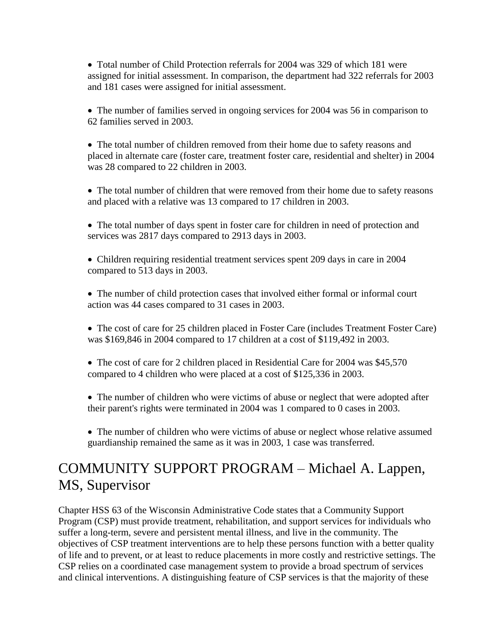• Total number of Child Protection referrals for 2004 was 329 of which 181 were assigned for initial assessment. In comparison, the department had 322 referrals for 2003 and 181 cases were assigned for initial assessment.

• The number of families served in ongoing services for 2004 was 56 in comparison to 62 families served in 2003.

• The total number of children removed from their home due to safety reasons and placed in alternate care (foster care, treatment foster care, residential and shelter) in 2004 was 28 compared to 22 children in 2003.

 The total number of children that were removed from their home due to safety reasons and placed with a relative was 13 compared to 17 children in 2003.

 The total number of days spent in foster care for children in need of protection and services was 2817 days compared to 2913 days in 2003.

 Children requiring residential treatment services spent 209 days in care in 2004 compared to 513 days in 2003.

 The number of child protection cases that involved either formal or informal court action was 44 cases compared to 31 cases in 2003.

• The cost of care for 25 children placed in Foster Care (includes Treatment Foster Care) was \$169,846 in 2004 compared to 17 children at a cost of \$119,492 in 2003.

• The cost of care for 2 children placed in Residential Care for 2004 was \$45,570 compared to 4 children who were placed at a cost of \$125,336 in 2003.

 The number of children who were victims of abuse or neglect that were adopted after their parent's rights were terminated in 2004 was 1 compared to 0 cases in 2003.

 The number of children who were victims of abuse or neglect whose relative assumed guardianship remained the same as it was in 2003, 1 case was transferred.

# COMMUNITY SUPPORT PROGRAM – Michael A. Lappen, MS, Supervisor

Chapter HSS 63 of the Wisconsin Administrative Code states that a Community Support Program (CSP) must provide treatment, rehabilitation, and support services for individuals who suffer a long-term, severe and persistent mental illness, and live in the community. The objectives of CSP treatment interventions are to help these persons function with a better quality of life and to prevent, or at least to reduce placements in more costly and restrictive settings. The CSP relies on a coordinated case management system to provide a broad spectrum of services and clinical interventions. A distinguishing feature of CSP services is that the majority of these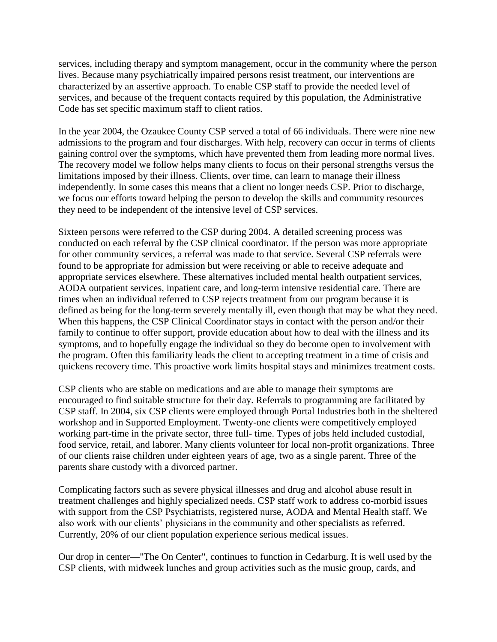services, including therapy and symptom management, occur in the community where the person lives. Because many psychiatrically impaired persons resist treatment, our interventions are characterized by an assertive approach. To enable CSP staff to provide the needed level of services, and because of the frequent contacts required by this population, the Administrative Code has set specific maximum staff to client ratios.

In the year 2004, the Ozaukee County CSP served a total of 66 individuals. There were nine new admissions to the program and four discharges. With help, recovery can occur in terms of clients gaining control over the symptoms, which have prevented them from leading more normal lives. The recovery model we follow helps many clients to focus on their personal strengths versus the limitations imposed by their illness. Clients, over time, can learn to manage their illness independently. In some cases this means that a client no longer needs CSP. Prior to discharge, we focus our efforts toward helping the person to develop the skills and community resources they need to be independent of the intensive level of CSP services.

Sixteen persons were referred to the CSP during 2004. A detailed screening process was conducted on each referral by the CSP clinical coordinator. If the person was more appropriate for other community services, a referral was made to that service. Several CSP referrals were found to be appropriate for admission but were receiving or able to receive adequate and appropriate services elsewhere. These alternatives included mental health outpatient services, AODA outpatient services, inpatient care, and long-term intensive residential care. There are times when an individual referred to CSP rejects treatment from our program because it is defined as being for the long-term severely mentally ill, even though that may be what they need. When this happens, the CSP Clinical Coordinator stays in contact with the person and/or their family to continue to offer support, provide education about how to deal with the illness and its symptoms, and to hopefully engage the individual so they do become open to involvement with the program. Often this familiarity leads the client to accepting treatment in a time of crisis and quickens recovery time. This proactive work limits hospital stays and minimizes treatment costs.

CSP clients who are stable on medications and are able to manage their symptoms are encouraged to find suitable structure for their day. Referrals to programming are facilitated by CSP staff. In 2004, six CSP clients were employed through Portal Industries both in the sheltered workshop and in Supported Employment. Twenty-one clients were competitively employed working part-time in the private sector, three full- time. Types of jobs held included custodial, food service, retail, and laborer. Many clients volunteer for local non-profit organizations. Three of our clients raise children under eighteen years of age, two as a single parent. Three of the parents share custody with a divorced partner.

Complicating factors such as severe physical illnesses and drug and alcohol abuse result in treatment challenges and highly specialized needs. CSP staff work to address co-morbid issues with support from the CSP Psychiatrists, registered nurse, AODA and Mental Health staff. We also work with our clients' physicians in the community and other specialists as referred. Currently, 20% of our client population experience serious medical issues.

Our drop in center—"The On Center", continues to function in Cedarburg. It is well used by the CSP clients, with midweek lunches and group activities such as the music group, cards, and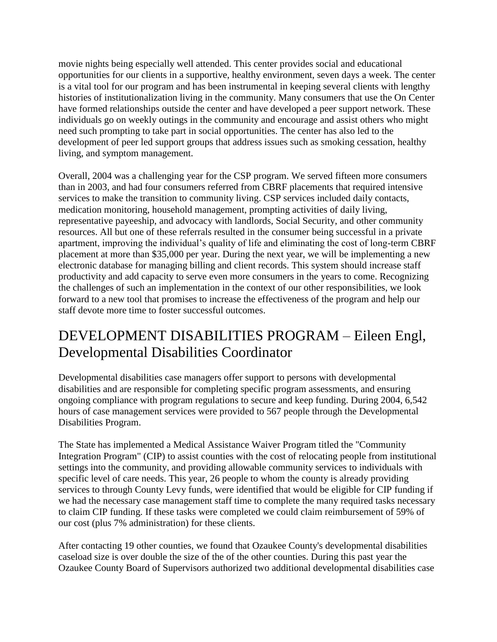movie nights being especially well attended. This center provides social and educational opportunities for our clients in a supportive, healthy environment, seven days a week. The center is a vital tool for our program and has been instrumental in keeping several clients with lengthy histories of institutionalization living in the community. Many consumers that use the On Center have formed relationships outside the center and have developed a peer support network. These individuals go on weekly outings in the community and encourage and assist others who might need such prompting to take part in social opportunities. The center has also led to the development of peer led support groups that address issues such as smoking cessation, healthy living, and symptom management.

Overall, 2004 was a challenging year for the CSP program. We served fifteen more consumers than in 2003, and had four consumers referred from CBRF placements that required intensive services to make the transition to community living. CSP services included daily contacts, medication monitoring, household management, prompting activities of daily living, representative payeeship, and advocacy with landlords, Social Security, and other community resources. All but one of these referrals resulted in the consumer being successful in a private apartment, improving the individual's quality of life and eliminating the cost of long-term CBRF placement at more than \$35,000 per year. During the next year, we will be implementing a new electronic database for managing billing and client records. This system should increase staff productivity and add capacity to serve even more consumers in the years to come. Recognizing the challenges of such an implementation in the context of our other responsibilities, we look forward to a new tool that promises to increase the effectiveness of the program and help our staff devote more time to foster successful outcomes.

# DEVELOPMENT DISABILITIES PROGRAM – Eileen Engl, Developmental Disabilities Coordinator

Developmental disabilities case managers offer support to persons with developmental disabilities and are responsible for completing specific program assessments, and ensuring ongoing compliance with program regulations to secure and keep funding. During 2004, 6,542 hours of case management services were provided to 567 people through the Developmental Disabilities Program.

The State has implemented a Medical Assistance Waiver Program titled the "Community Integration Program" (CIP) to assist counties with the cost of relocating people from institutional settings into the community, and providing allowable community services to individuals with specific level of care needs. This year, 26 people to whom the county is already providing services to through County Levy funds, were identified that would be eligible for CIP funding if we had the necessary case management staff time to complete the many required tasks necessary to claim CIP funding. If these tasks were completed we could claim reimbursement of 59% of our cost (plus 7% administration) for these clients.

After contacting 19 other counties, we found that Ozaukee County's developmental disabilities caseload size is over double the size of the of the other counties. During this past year the Ozaukee County Board of Supervisors authorized two additional developmental disabilities case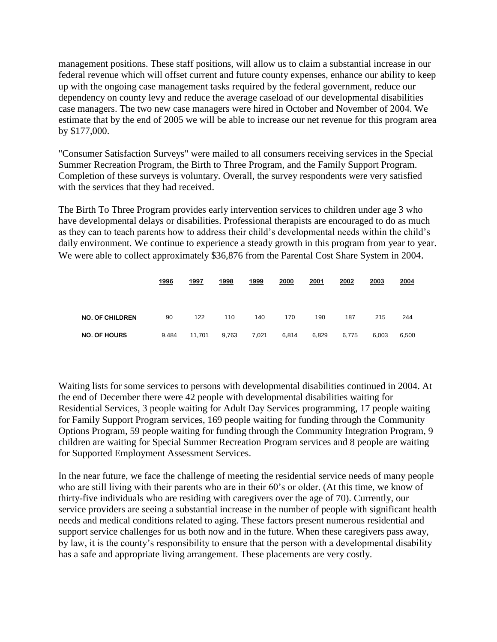management positions. These staff positions, will allow us to claim a substantial increase in our federal revenue which will offset current and future county expenses, enhance our ability to keep up with the ongoing case management tasks required by the federal government, reduce our dependency on county levy and reduce the average caseload of our developmental disabilities case managers. The two new case managers were hired in October and November of 2004. We estimate that by the end of 2005 we will be able to increase our net revenue for this program area by \$177,000.

"Consumer Satisfaction Surveys" were mailed to all consumers receiving services in the Special Summer Recreation Program, the Birth to Three Program, and the Family Support Program. Completion of these surveys is voluntary. Overall, the survey respondents were very satisfied with the services that they had received.

The Birth To Three Program provides early intervention services to children under age 3 who have developmental delays or disabilities. Professional therapists are encouraged to do as much as they can to teach parents how to address their child's developmental needs within the child's daily environment. We continue to experience a steady growth in this program from year to year. We were able to collect approximately \$36,876 from the Parental Cost Share System in 2004.

|                        | 1996  | 1997   | 1998  | 1999  | 2000  | 2001  | 2002  | 2003  | 2004  |
|------------------------|-------|--------|-------|-------|-------|-------|-------|-------|-------|
| <b>NO. OF CHILDREN</b> | 90    | 122    | 110   | 140   | 170   | 190   | 187   | 215   | 244   |
| <b>NO. OF HOURS</b>    | 9,484 | 11,701 | 9,763 | 7,021 | 6,814 | 6,829 | 6,775 | 6,003 | 6,500 |

Waiting lists for some services to persons with developmental disabilities continued in 2004. At the end of December there were 42 people with developmental disabilities waiting for Residential Services, 3 people waiting for Adult Day Services programming, 17 people waiting for Family Support Program services, 169 people waiting for funding through the Community Options Program, 59 people waiting for funding through the Community Integration Program, 9 children are waiting for Special Summer Recreation Program services and 8 people are waiting for Supported Employment Assessment Services.

In the near future, we face the challenge of meeting the residential service needs of many people who are still living with their parents who are in their 60's or older. (At this time, we know of thirty-five individuals who are residing with caregivers over the age of 70). Currently, our service providers are seeing a substantial increase in the number of people with significant health needs and medical conditions related to aging. These factors present numerous residential and support service challenges for us both now and in the future. When these caregivers pass away, by law, it is the county's responsibility to ensure that the person with a developmental disability has a safe and appropriate living arrangement. These placements are very costly.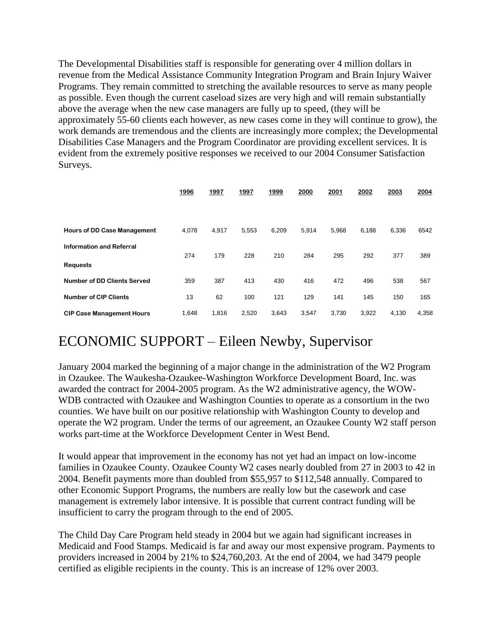The Developmental Disabilities staff is responsible for generating over 4 million dollars in revenue from the Medical Assistance Community Integration Program and Brain Injury Waiver Programs. They remain committed to stretching the available resources to serve as many people as possible. Even though the current caseload sizes are very high and will remain substantially above the average when the new case managers are fully up to speed, (they will be approximately 55-60 clients each however, as new cases come in they will continue to grow), the work demands are tremendous and the clients are increasingly more complex; the Developmental Disabilities Case Managers and the Program Coordinator are providing excellent services. It is evident from the extremely positive responses we received to our 2004 Consumer Satisfaction Surveys.

|                                    | 1996  | 1997  | 1997  | 1999  | 2000  | 2001  | 2002  | 2003  | 2004  |
|------------------------------------|-------|-------|-------|-------|-------|-------|-------|-------|-------|
|                                    |       |       |       |       |       |       |       |       |       |
| <b>Hours of DD Case Management</b> | 4.078 | 4,917 | 5,553 | 6,209 | 5,914 | 5,968 | 6,188 | 6,336 | 6542  |
| <b>Information and Referral</b>    | 274   | 179   | 228   | 210   | 284   | 295   | 292   | 377   | 389   |
| <b>Requests</b>                    |       |       |       |       |       |       |       |       |       |
| <b>Number of DD Clients Served</b> | 359   | 387   | 413   | 430   | 416   | 472   | 496   | 538   | 567   |
| <b>Number of CIP Clients</b>       | 13    | 62    | 100   | 121   | 129   | 141   | 145   | 150   | 165   |
| <b>CIP Case Management Hours</b>   | 1,648 | 1,816 | 2,520 | 3,643 | 3,547 | 3,730 | 3,922 | 4,130 | 4,358 |

# ECONOMIC SUPPORT – Eileen Newby, Supervisor

January 2004 marked the beginning of a major change in the administration of the W2 Program in Ozaukee. The Waukesha-Ozaukee-Washington Workforce Development Board, Inc. was awarded the contract for 2004-2005 program. As the W2 administrative agency, the WOW-WDB contracted with Ozaukee and Washington Counties to operate as a consortium in the two counties. We have built on our positive relationship with Washington County to develop and operate the W2 program. Under the terms of our agreement, an Ozaukee County W2 staff person works part-time at the Workforce Development Center in West Bend.

It would appear that improvement in the economy has not yet had an impact on low-income families in Ozaukee County. Ozaukee County W2 cases nearly doubled from 27 in 2003 to 42 in 2004. Benefit payments more than doubled from \$55,957 to \$112,548 annually. Compared to other Economic Support Programs, the numbers are really low but the casework and case management is extremely labor intensive. It is possible that current contract funding will be insufficient to carry the program through to the end of 2005.

The Child Day Care Program held steady in 2004 but we again had significant increases in Medicaid and Food Stamps. Medicaid is far and away our most expensive program. Payments to providers increased in 2004 by 21% to \$24,760,203. At the end of 2004, we had 3479 people certified as eligible recipients in the county. This is an increase of 12% over 2003.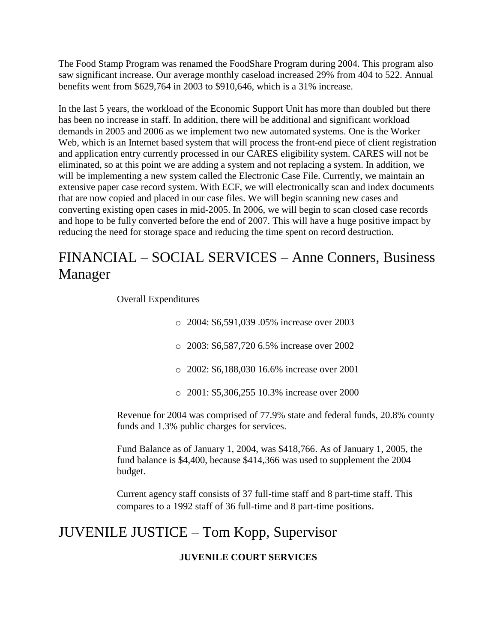The Food Stamp Program was renamed the FoodShare Program during 2004. This program also saw significant increase. Our average monthly caseload increased 29% from 404 to 522. Annual benefits went from \$629,764 in 2003 to \$910,646, which is a 31% increase.

In the last 5 years, the workload of the Economic Support Unit has more than doubled but there has been no increase in staff. In addition, there will be additional and significant workload demands in 2005 and 2006 as we implement two new automated systems. One is the Worker Web, which is an Internet based system that will process the front-end piece of client registration and application entry currently processed in our CARES eligibility system. CARES will not be eliminated, so at this point we are adding a system and not replacing a system. In addition, we will be implementing a new system called the Electronic Case File. Currently, we maintain an extensive paper case record system. With ECF, we will electronically scan and index documents that are now copied and placed in our case files. We will begin scanning new cases and converting existing open cases in mid-2005. In 2006, we will begin to scan closed case records and hope to be fully converted before the end of 2007. This will have a huge positive impact by reducing the need for storage space and reducing the time spent on record destruction.

# FINANCIAL – SOCIAL SERVICES – Anne Conners, Business Manager

Overall Expenditures

o 2004: \$6,591,039 .05% increase over 2003 o 2003: \$6,587,720 6.5% increase over 2002 o 2002: \$6,188,030 16.6% increase over 2001 o 2001: \$5,306,255 10.3% increase over 2000

Revenue for 2004 was comprised of 77.9% state and federal funds, 20.8% county funds and 1.3% public charges for services.

Fund Balance as of January 1, 2004, was \$418,766. As of January 1, 2005, the fund balance is \$4,400, because \$414,366 was used to supplement the 2004 budget.

Current agency staff consists of 37 full-time staff and 8 part-time staff. This compares to a 1992 staff of 36 full-time and 8 part-time positions.

# JUVENILE JUSTICE – Tom Kopp, Supervisor

## **JUVENILE COURT SERVICES**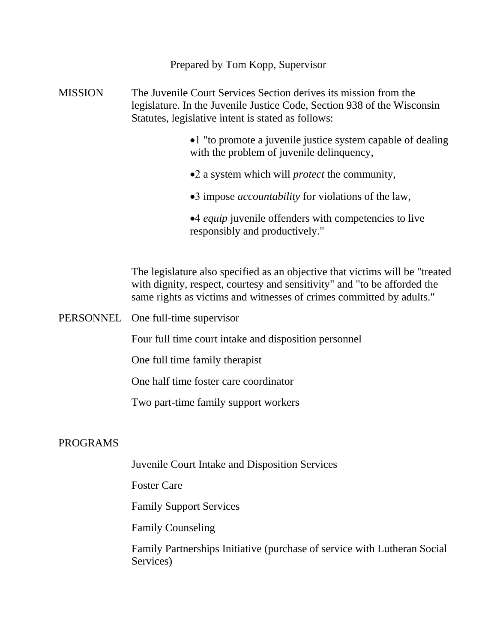Prepared by Tom Kopp, Supervisor

MISSION The Juvenile Court Services Section derives its mission from the legislature. In the Juvenile Justice Code, Section 938 of the Wisconsin Statutes, legislative intent is stated as follows:

- •1 "to promote a juvenile justice system capable of dealing with the problem of juvenile delinquency,
- •2 a system which will *protect* the community,
- •3 impose *accountability* for violations of the law,

*equip* juvenile offenders with competencies to live responsibly and productively."

The legislature also specified as an objective that victims will be "treated with dignity, respect, courtesy and sensitivity" and "to be afforded the same rights as victims and witnesses of crimes committed by adults."

PERSONNEL One full-time supervisor

Four full time court intake and disposition personnel

One full time family therapist

One half time foster care coordinator

Two part-time family support workers

## PROGRAMS

Juvenile Court Intake and Disposition Services

Foster Care

Family Support Services

Family Counseling

Family Partnerships Initiative (purchase of service with Lutheran Social Services)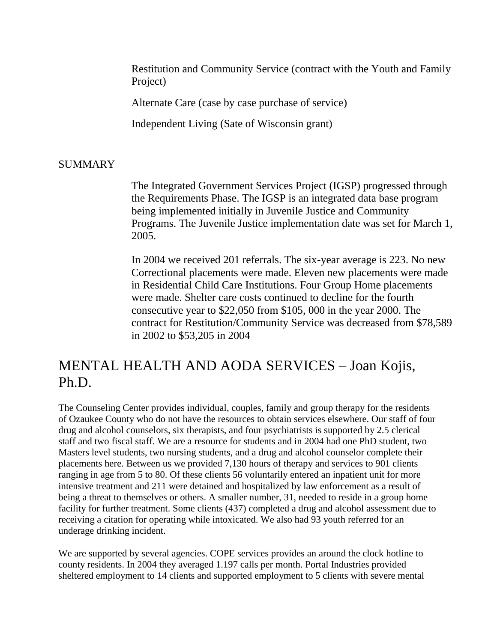Restitution and Community Service (contract with the Youth and Family Project)

Alternate Care (case by case purchase of service)

Independent Living (Sate of Wisconsin grant)

## SUMMARY

The Integrated Government Services Project (IGSP) progressed through the Requirements Phase. The IGSP is an integrated data base program being implemented initially in Juvenile Justice and Community Programs. The Juvenile Justice implementation date was set for March 1, 2005.

In 2004 we received 201 referrals. The six-year average is 223. No new Correctional placements were made. Eleven new placements were made in Residential Child Care Institutions. Four Group Home placements were made. Shelter care costs continued to decline for the fourth consecutive year to \$22,050 from \$105, 000 in the year 2000. The contract for Restitution/Community Service was decreased from \$78,589 in 2002 to \$53,205 in 2004

# MENTAL HEALTH AND AODA SERVICES – Joan Kojis, Ph.D.

The Counseling Center provides individual, couples, family and group therapy for the residents of Ozaukee County who do not have the resources to obtain services elsewhere. Our staff of four drug and alcohol counselors, six therapists, and four psychiatrists is supported by 2.5 clerical staff and two fiscal staff. We are a resource for students and in 2004 had one PhD student, two Masters level students, two nursing students, and a drug and alcohol counselor complete their placements here. Between us we provided 7,130 hours of therapy and services to 901 clients ranging in age from 5 to 80. Of these clients 56 voluntarily entered an inpatient unit for more intensive treatment and 211 were detained and hospitalized by law enforcement as a result of being a threat to themselves or others. A smaller number, 31, needed to reside in a group home facility for further treatment. Some clients (437) completed a drug and alcohol assessment due to receiving a citation for operating while intoxicated. We also had 93 youth referred for an underage drinking incident.

We are supported by several agencies. COPE services provides an around the clock hotline to county residents. In 2004 they averaged 1.197 calls per month. Portal Industries provided sheltered employment to 14 clients and supported employment to 5 clients with severe mental